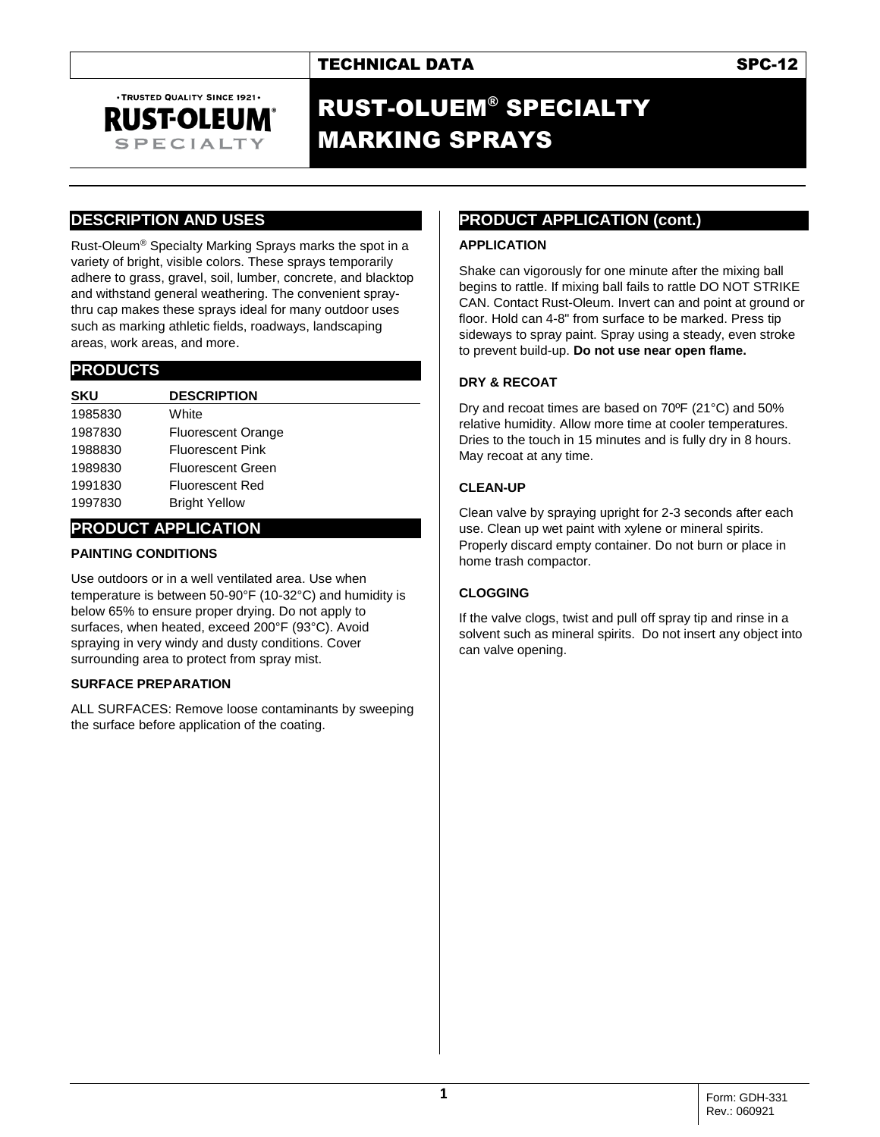# TECHNICAL DATA SPC-12

# RUST-OLUEM® SPECIALTY MARKING SPRAYS

## **DESCRIPTION AND USES**

. TRUSTED QUALITY SINCE 1921. **RUST-OLEUM SPECIALTY** 

Rust-Oleum® Specialty Marking Sprays marks the spot in a variety of bright, visible colors. These sprays temporarily adhere to grass, gravel, soil, lumber, concrete, and blacktop and withstand general weathering. The convenient spraythru cap makes these sprays ideal for many outdoor uses such as marking athletic fields, roadways, landscaping areas, work areas, and more.

### **PRODUCTS**

| <b>SKU</b> | <b>DESCRIPTION</b>        |  |
|------------|---------------------------|--|
| 1985830    | White                     |  |
| 1987830    | <b>Fluorescent Orange</b> |  |
| 1988830    | <b>Fluorescent Pink</b>   |  |
| 1989830    | <b>Fluorescent Green</b>  |  |
| 1991830    | <b>Fluorescent Red</b>    |  |
| 1997830    | <b>Bright Yellow</b>      |  |

## **PRODUCT APPLICATION**

#### **PAINTING CONDITIONS**

Use outdoors or in a well ventilated area. Use when temperature is between 50-90°F (10-32°C) and humidity is below 65% to ensure proper drying. Do not apply to surfaces, when heated, exceed 200°F (93°C). Avoid spraying in very windy and dusty conditions. Cover surrounding area to protect from spray mist.

#### **SURFACE PREPARATION**

ALL SURFACES: Remove loose contaminants by sweeping the surface before application of the coating.

# **PRODUCT APPLICATION (cont.)**

### **APPLICATION**

Shake can vigorously for one minute after the mixing ball begins to rattle. If mixing ball fails to rattle DO NOT STRIKE CAN. Contact Rust-Oleum. Invert can and point at ground or floor. Hold can 4-8" from surface to be marked. Press tip sideways to spray paint. Spray using a steady, even stroke to prevent build-up. **Do not use near open flame.**

### **DRY & RECOAT**

Dry and recoat times are based on 70ºF (21°C) and 50% relative humidity. Allow more time at cooler temperatures. Dries to the touch in 15 minutes and is fully dry in 8 hours. May recoat at any time.

#### **CLEAN-UP**

Clean valve by spraying upright for 2-3 seconds after each use. Clean up wet paint with xylene or mineral spirits. Properly discard empty container. Do not burn or place in home trash compactor.

#### **CLOGGING**

If the valve clogs, twist and pull off spray tip and rinse in a solvent such as mineral spirits. Do not insert any object into can valve opening.